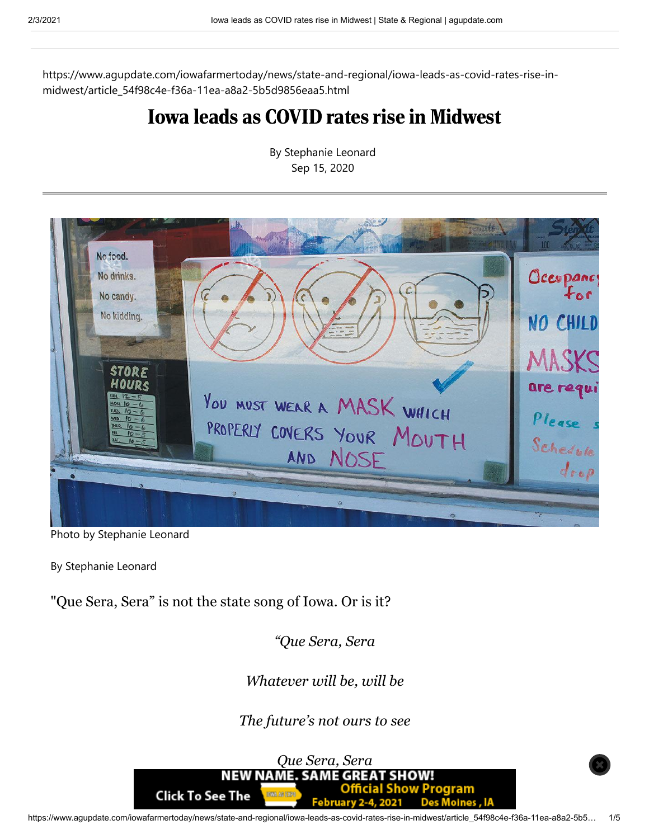https://www.agupdate.com/iowafarmertoday/news/state-and-regional/iowa-leads-as-covid-rates-rise-inmidwest/article\_54f98c4e-f36a-11ea-a8a2-5b5d9856eaa5.html

## Iowa leads as COVID rates rise in Midwest



By Stephanie Leonard Sep 15, 2020

Photo by Stephanie Leonard

By Stephanie Leonard

"Que Sera, Sera" is not the state song of Iowa. Or is it?

*"Que Sera, Sera*

*Whatever will be, will be*

*The future's not ours to see*

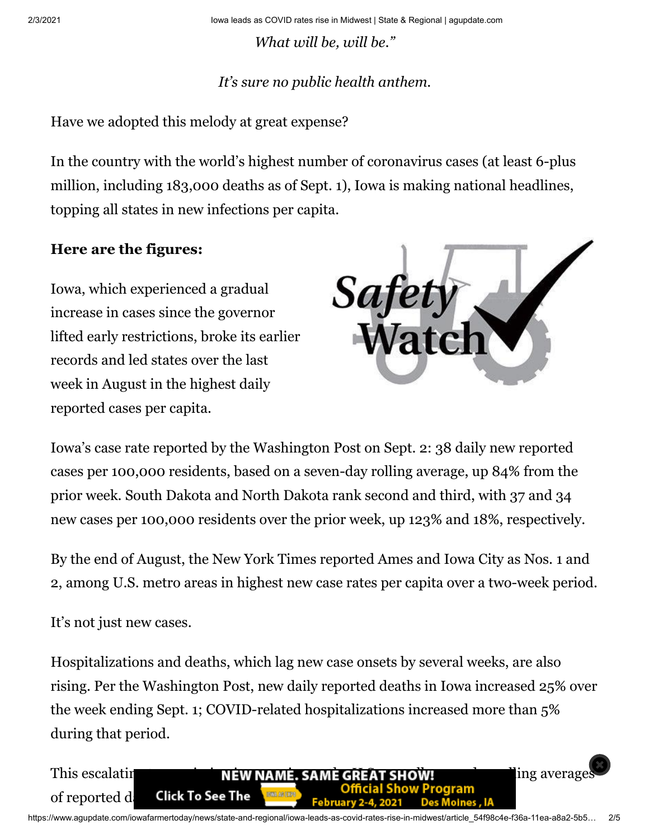2/3/2021 Iowa leads as COVID rates rise in Midwest | State & Regional | agupdate.com

*What will be, will be."*

## *It's sure no public health anthem.*

Have we adopted this melody at great expense?

In the country with the world's highest number of coronavirus cases (at least 6-plus million, including 183,000 deaths as of Sept. 1), Iowa is making national headlines, topping all states in new infections per capita.

## **Here are the figures:**

Iowa, which experienced a gradual increase in cases since the governor lifted early restrictions, broke its earlier records and led states over the last week in August in the highest daily reported cases per capita.



Iowa's case rate reported by the Washington Post on Sept. 2: 38 daily new reported cases per 100,000 residents, based on a seven-day rolling average, up 84% from the prior week. South Dakota and North Dakota rank second and third, with 37 and 34 new cases per 100,000 residents over the prior week, up 123% and 18%, respectively.

By the end of August, the New York Times reported Ames and Iowa City as Nos. 1 and 2, among U.S. metro areas in highest new case rates per capita over a two-week period.

It's not just new cases.

Hospitalizations and deaths, which lag new case onsets by several weeks, are also rising. Per the Washington Post, new daily reported deaths in Iowa increased 25% over the week ending Sept. 1; COVID-related hospitalizations increased more than 5% during that period.

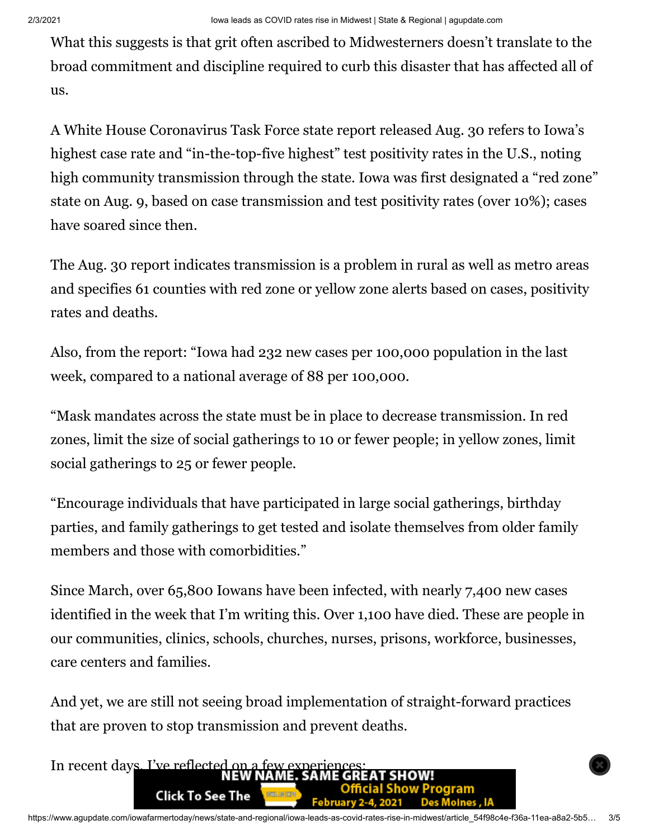What this suggests is that grit often ascribed to Midwesterners doesn't translate to the broad commitment and discipline required to curb this disaster that has affected all of us.

A White House Coronavirus Task Force state report released Aug. 30 refers to Iowa's highest case rate and "in-the-top-five highest" test positivity rates in the U.S., noting high community transmission through the state. Iowa was first designated a "red zone" state on Aug. 9, based on case transmission and test positivity rates (over 10%); cases have soared since then.

The Aug. 30 report indicates transmission is a problem in rural as well as metro areas and specifies 61 counties with red zone or yellow zone alerts based on cases, positivity rates and deaths.

Also, from the report: "Iowa had 232 new cases per 100,000 population in the last week, compared to a national average of 88 per 100,000.

"Mask mandates across the state must be in place to decrease transmission. In red zones, limit the size of social gatherings to 10 or fewer people; in yellow zones, limit social gatherings to 25 or fewer people.

"Encourage individuals that have participated in large social gatherings, birthday parties, and family gatherings to get tested and isolate themselves from older family members and those with comorbidities."

Since March, over 65,800 Iowans have been infected, with nearly 7,400 new cases identified in the week that I'm writing this. Over 1,100 have died. These are people in our communities, clinics, schools, churches, nurses, prisons, workforce, businesses, care centers and families.

And yet, we are still not seeing broad implementation of straight-forward practices that are proven to stop transmission and prevent deaths.

In recent days, I've reflected on a few experience aram **Click To See The** Moines . IA February 2-4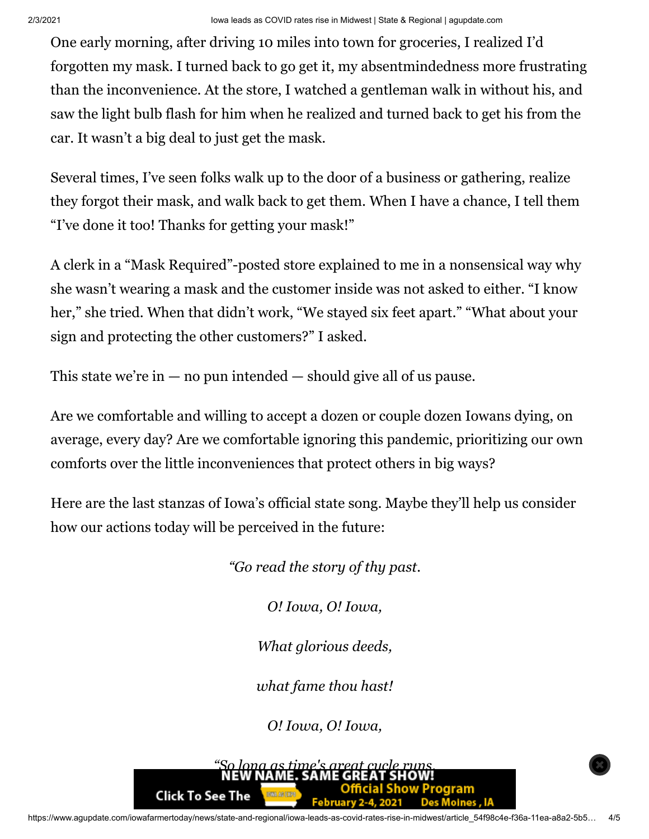One early morning, after driving 10 miles into town for groceries, I realized I'd forgotten my mask. I turned back to go get it, my absentmindedness more frustrating than the inconvenience. At the store, I watched a gentleman walk in without his, and saw the light bulb flash for him when he realized and turned back to get his from the car. It wasn't a big deal to just get the mask.

Several times, I've seen folks walk up to the door of a business or gathering, realize they forgot their mask, and walk back to get them. When I have a chance, I tell them "I've done it too! Thanks for getting your mask!"

A clerk in a "Mask Required"-posted store explained to me in a nonsensical way why she wasn't wearing a mask and the customer inside was not asked to either. "I know her," she tried. When that didn't work, "We stayed six feet apart." "What about your sign and protecting the other customers?" I asked.

This state we're in  $-$  no pun intended  $-$  should give all of us pause.

Are we comfortable and willing to accept a dozen or couple dozen Iowans dying, on average, every day? Are we comfortable ignoring this pandemic, prioritizing our own comforts over the little inconveniences that protect others in big ways?

Here are the last stanzas of Iowa's official state song. Maybe they'll help us consider how our actions today will be perceived in the future:

*"Go read the story of thy past.*

*O! Iowa, O! Iowa,*

*What glorious deeds,*

*what fame thou hast!*

*O! Iowa, O! Iowa,*